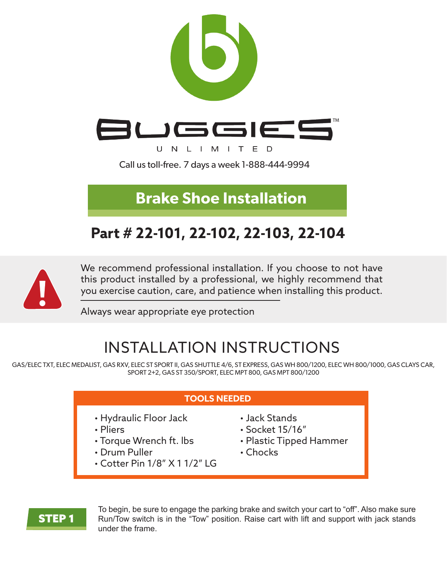

**Brake Shoe Installation**

## **Part # 22-101, 22-102, 22-103, 22-104**



We recommend professional installation. If you choose to not have this product installed by a professional, we highly recommend that you exercise caution, care, and patience when installing this product.

Always wear appropriate eye protection

# INSTALLATION INSTRUCTIONS

GAS/ELEC TXT, ELEC MEDALIST, GAS RXV, ELEC ST SPORT II, GAS SHUTTLE 4/6, ST EXPRESS, GAS WH 800/1200, ELEC WH 800/1000, GAS CLAYS CAR, SPORT 2+2, GAS ST 350/SPORT, ELEC MPT 800, GAS MPT 800/1200

#### **TOOLS NEEDED**

- Hydraulic Floor Jack
- Pliers
- Torque Wrench ft. lbs
- Drum Puller
- Cotter Pin 1/8" X 1 1/2" LG
- Jack Stands
- Socket 15/16"
- Plastic Tipped Hammer
- Chocks

#### STEP 1

To begin, be sure to engage the parking brake and switch your cart to "off". Also make sure Run/Tow switch is in the "Tow" position. Raise cart with lift and support with jack stands under the frame.